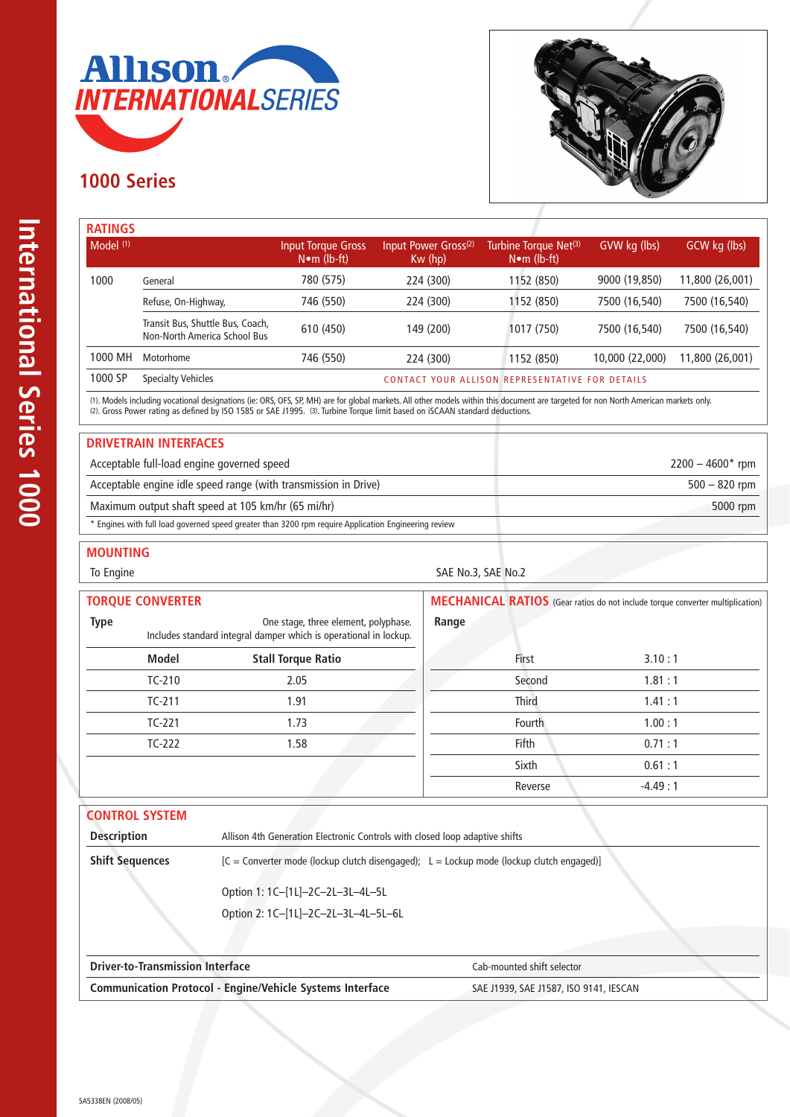

## **1000 Series**



| <b>RATINGS</b> |                                                                  |                                           |                                            |                                                            |                 |                 |
|----------------|------------------------------------------------------------------|-------------------------------------------|--------------------------------------------|------------------------------------------------------------|-----------------|-----------------|
| Model $(1)$    |                                                                  | Input Torque Gross<br>$N \cdot m$ (lb-ft) | Input Power Gross <sup>(2)</sup><br>Kw(hp) | Turbine Torque Net <sup>(3)</sup><br>$N \bullet m$ (lb-ft) | GVW kg (lbs)    | GCW kg (lbs)    |
| 1000           | General                                                          | 780 (575)                                 | 224 (300)                                  | 1152 (850)                                                 | 9000 (19,850)   | 11,800 (26,001) |
|                | Refuse, On-Highway,                                              | 746 (550)                                 | 224 (300)                                  | 1152 (850)                                                 | 7500 (16,540)   | 7500 (16,540)   |
|                | Transit Bus, Shuttle Bus, Coach,<br>Non-North America School Bus | 610 (450)                                 | 149 (200)                                  | 1017 (750)                                                 | 7500 (16,540)   | 7500 (16,540)   |
| 1000 MH        | Motorhome                                                        | 746 (550)                                 | 224 (300)                                  | 1152 (850)                                                 | 10,000 (22,000) | 11,800 (26,001) |
| 1000 SP        | <b>Specialty Vehicles</b>                                        |                                           |                                            | CONTACT YOUR ALLISON REPRESENTATIVE FOR DETAILS            |                 |                 |

(1). Models including vocational designations (ie: ORS, OFS, SP, MH) are for global markets. All other models within this document are targeted for non North American markets only. (2). Gross Power rating as defined by ISO 1585 or SAE J1995. (3). Turbine Torque limit based on iSCAAN standard deductions.

#### **DRIVETRAIN INTERFACES**

| Acceptable full-load engine governed speed                                                           | $2200 - 4600*$ rpm |
|------------------------------------------------------------------------------------------------------|--------------------|
| Acceptable engine idle speed range (with transmission in Drive)                                      | $500 - 820$ rpm    |
| Maximum output shaft speed at 105 km/hr (65 mi/hr)                                                   | 5000 rpm           |
| * Engines with full load governed speed greater than 3200 rpm require Application Engineering review |                    |

### **MOUNTING**

#### To Engine SAE No.3, SAE No.2

| <b>TORQUE CONVERTER</b>                                                                                                  |              |                           | <b>MECHANICAL RATIOS</b> (Gear ratios do not include torque converter multiplication) |           |  |
|--------------------------------------------------------------------------------------------------------------------------|--------------|---------------------------|---------------------------------------------------------------------------------------|-----------|--|
| <b>Type</b><br>One stage, three element, polyphase.<br>Includes standard integral damper which is operational in lockup. |              | Range                     |                                                                                       |           |  |
|                                                                                                                          | <b>Model</b> | <b>Stall Torque Ratio</b> | First                                                                                 | 3.10:1    |  |
|                                                                                                                          | $TC-210$     | 2.05                      | Second                                                                                | 1.81:1    |  |
|                                                                                                                          | $TC-211$     | 1.91                      | <b>Third</b>                                                                          | 1.41:1    |  |
|                                                                                                                          | $TC-221$     | 1.73                      | Fourth                                                                                | 1.00:1    |  |
|                                                                                                                          | $TC-222$     | 1.58                      | <b>Fifth</b>                                                                          | 0.71:1    |  |
|                                                                                                                          |              |                           | Sixth                                                                                 | 0.61:1    |  |
|                                                                                                                          |              |                           | Reverse                                                                               | $-4.49:1$ |  |

| <b>CONTROL SYSTEM</b>  |                                                                                            |
|------------------------|--------------------------------------------------------------------------------------------|
| <b>Description</b>     | Allison 4th Generation Electronic Controls with closed loop adaptive shifts                |
| <b>Shift Sequences</b> | $[C =$ Converter mode (lockup clutch disengaged); L = Lockup mode (lockup clutch engaged)] |
|                        | Option 1: 1C-[1L]-2C-2L-3L-4L-5L                                                           |
|                        | Option 2: 1C-[1L]-2C-2L-3L-4L-5L-6L                                                        |

| <b>Driver-to-Transmission Interface</b>                          | Cab-mounted shift selector             |  |
|------------------------------------------------------------------|----------------------------------------|--|
| <b>Communication Protocol - Engine/Vehicle Systems Interface</b> | SAE J1939, SAE J1587, ISO 9141, IESCAN |  |